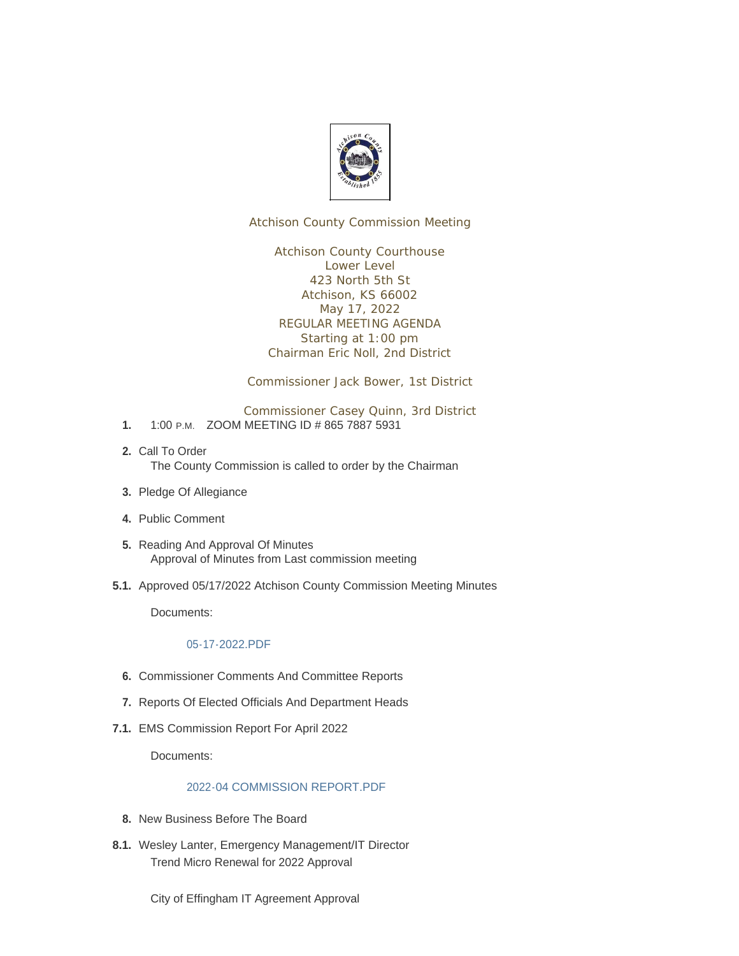

Atchison County Commission Meeting

Atchison County Courthouse Lower Level 423 North 5th St Atchison, KS 66002 May 17, 2022 REGULAR MEETING AGENDA Starting at 1:00 pm Chairman Eric Noll, 2nd District

Commissioner Jack Bower, 1st District

Commissioner Casey Quinn, 3rd District

- 1. 1:00 P.M. ZOOM MEETING ID # 865 7887 5931
- 2. Call To Order The County Commission is called to order by the Chairman
- 3. Pledge Of Allegiance
- Public Comment **4.**
- 5. Reading And Approval Of Minutes Approval of Minutes from Last commission meeting
- 5.1. Approved 05/17/2022 Atchison County Commission Meeting Minutes

Documents:

## [05-17-2022.PDF](http://www.atchisoncountyks.org/AgendaCenter/ViewFile/Item/10651?fileID=1759)

- **6.** Commissioner Comments And Committee Reports
- 7. Reports Of Elected Officials And Department Heads
- EMS Commission Report For April 2022 **7.1.**

Documents:

## [2022-04 COMMISSION REPORT.PDF](http://www.atchisoncountyks.org/AgendaCenter/ViewFile/Item/10083?fileID=1739)

- 8. New Business Before The Board
- 8.1. Wesley Lanter, Emergency Management/IT Director Trend Micro Renewal for 2022 Approval

City of Effingham IT Agreement Approval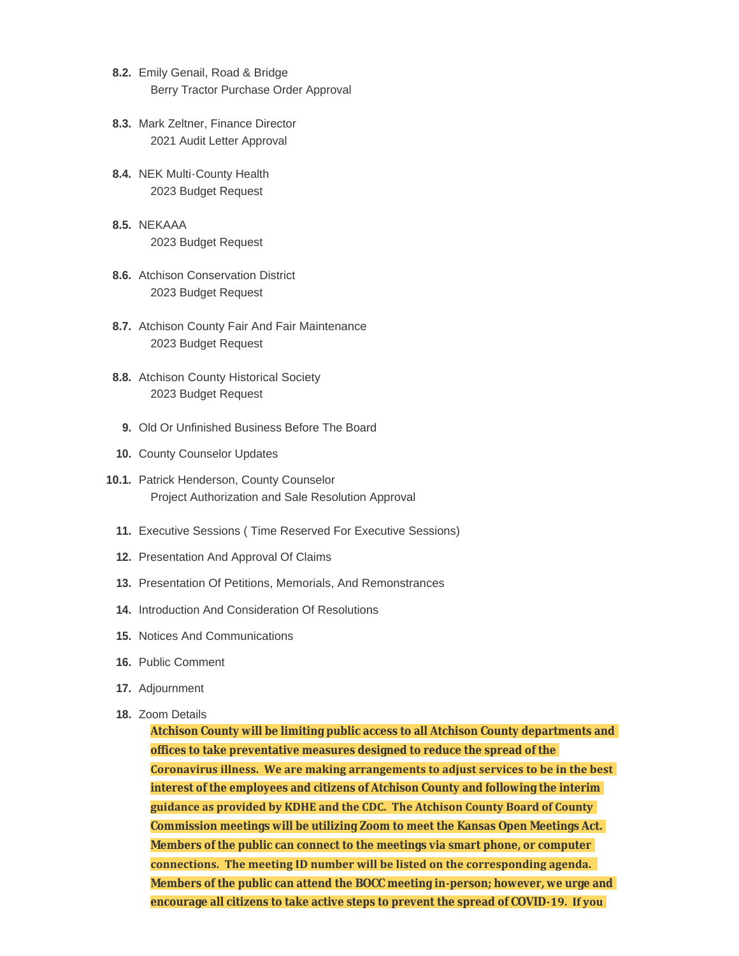- 8.2. Emily Genail, Road & Bridge Berry Tractor Purchase Order Approval
- 8.3. Mark Zeltner, Finance Director 2021 Audit Letter Approval
- 8.4. NEK Multi-County Health 2023 Budget Request
- **8.5.** NEKAAA 2023 Budget Request
- Atchison Conservation District **8.6.** 2023 Budget Request
- 8.7. Atchison County Fair And Fair Maintenance 2023 Budget Request
- 8.8. Atchison County Historical Society 2023 Budget Request
	- 9. Old Or Unfinished Business Before The Board
- 10. County Counselor Updates
- 10.1. Patrick Henderson, County Counselor Project Authorization and Sale Resolution Approval
	- Executive Sessions ( Time Reserved For Executive Sessions) **11.**
	- 12. Presentation And Approval Of Claims
	- 13. Presentation Of Petitions, Memorials, And Remonstrances
	- 14. Introduction And Consideration Of Resolutions
	- 15. Notices And Communications
	- 16. Public Comment
	- 17. Adjournment
	- 18. Zoom Details

**Atchison County will be limiting public access to all Atchison County departments and offices to take preventative measures designed to reduce the spread of the Coronavirus illness. We are making arrangements to adjust services to be in the best interest of the employees and citizens of Atchison County and following the interim guidance as provided by KDHE and the CDC. The Atchison County Board of County Commission meetings will be utilizing Zoom to meet the Kansas Open Meetings Act. Members of the public can connect to the meetings via smart phone, or computer connections. The meeting ID number will be listed on the corresponding agenda. Members of the public can attend the BOCC meeting in-person; however, we urge and encourage all citizens to take active steps to prevent the spread of COVID-19. If you**